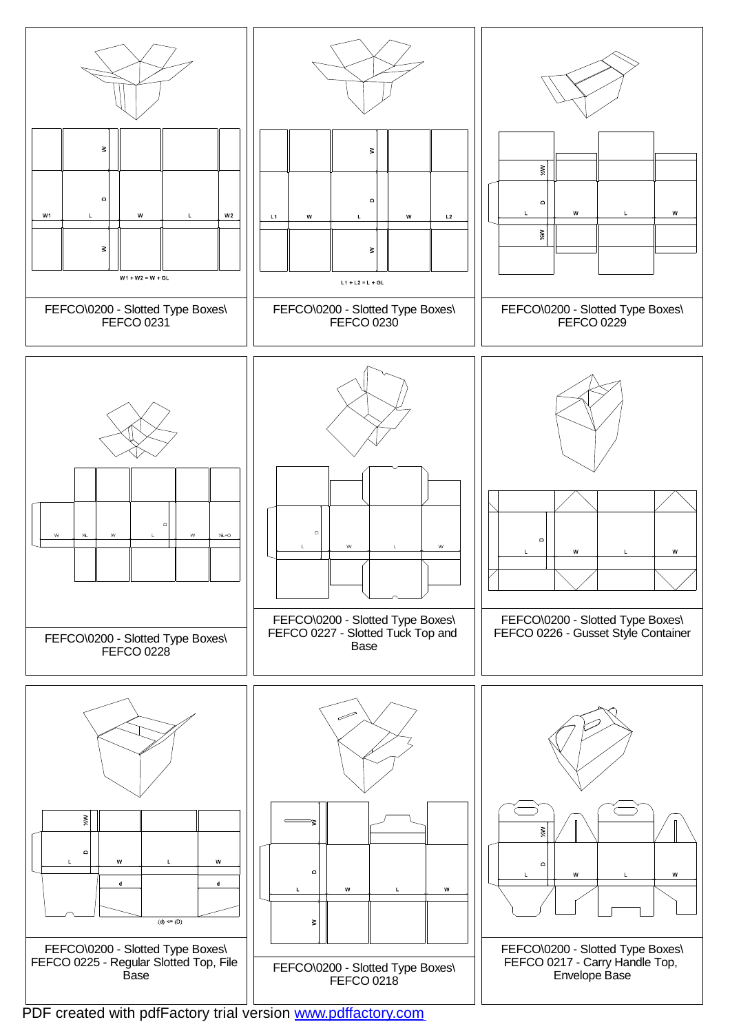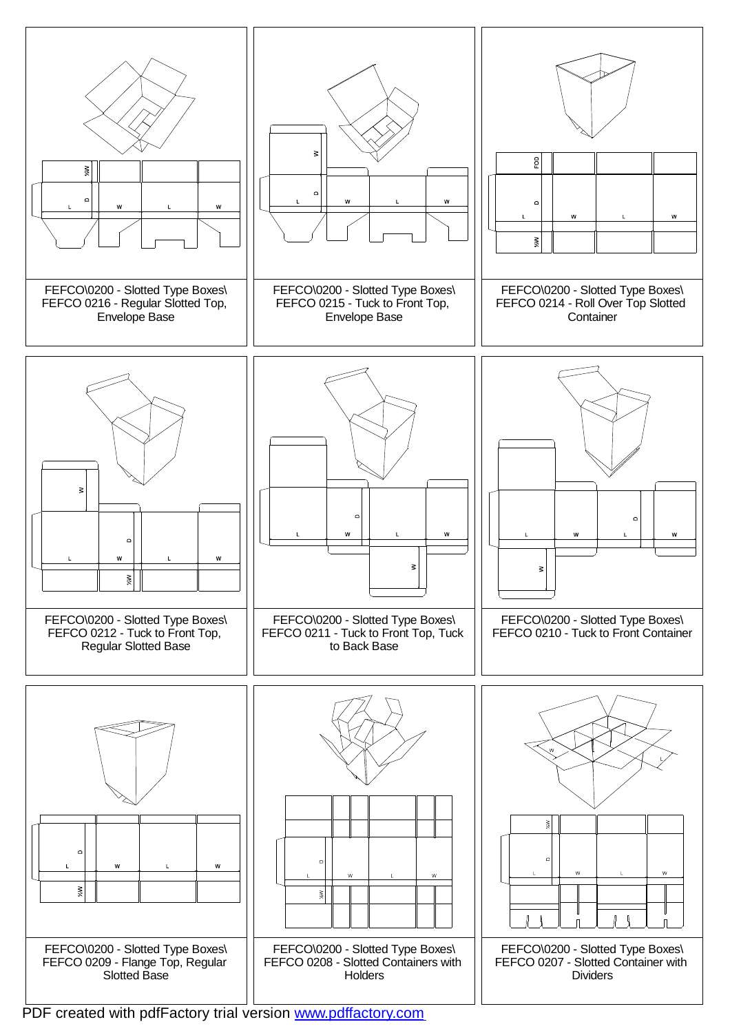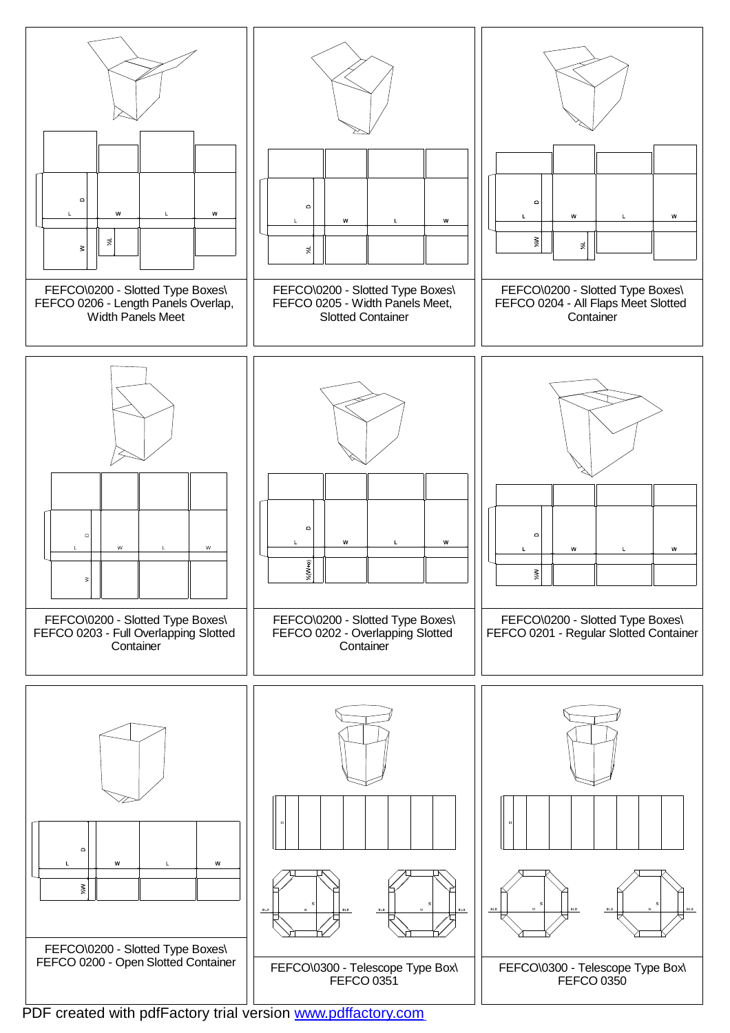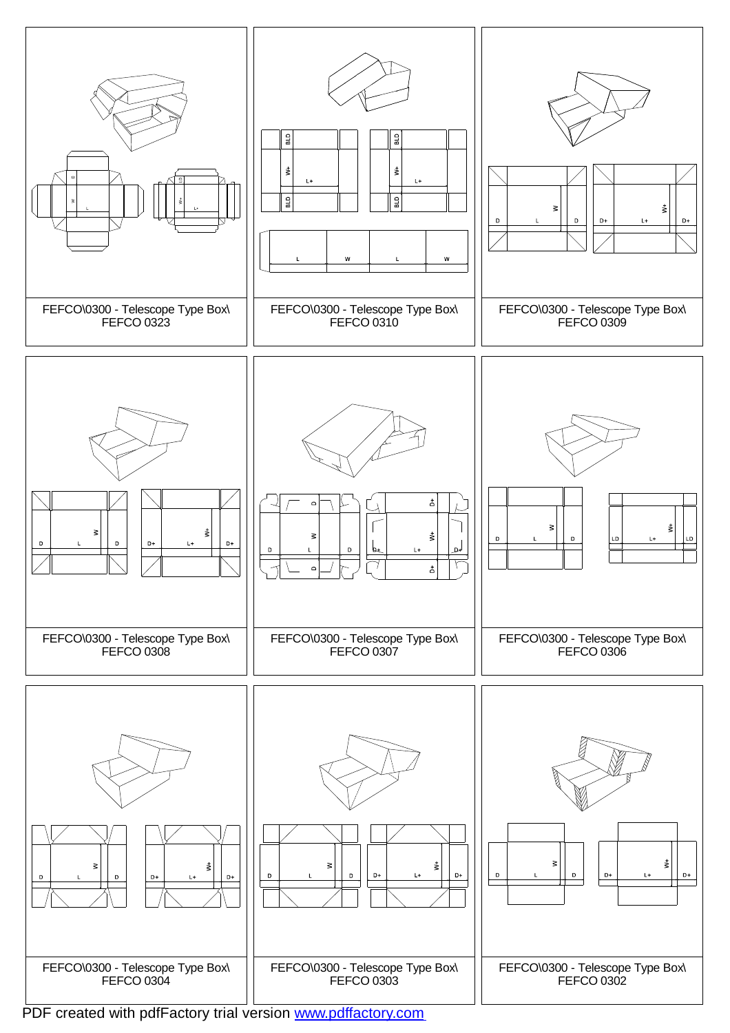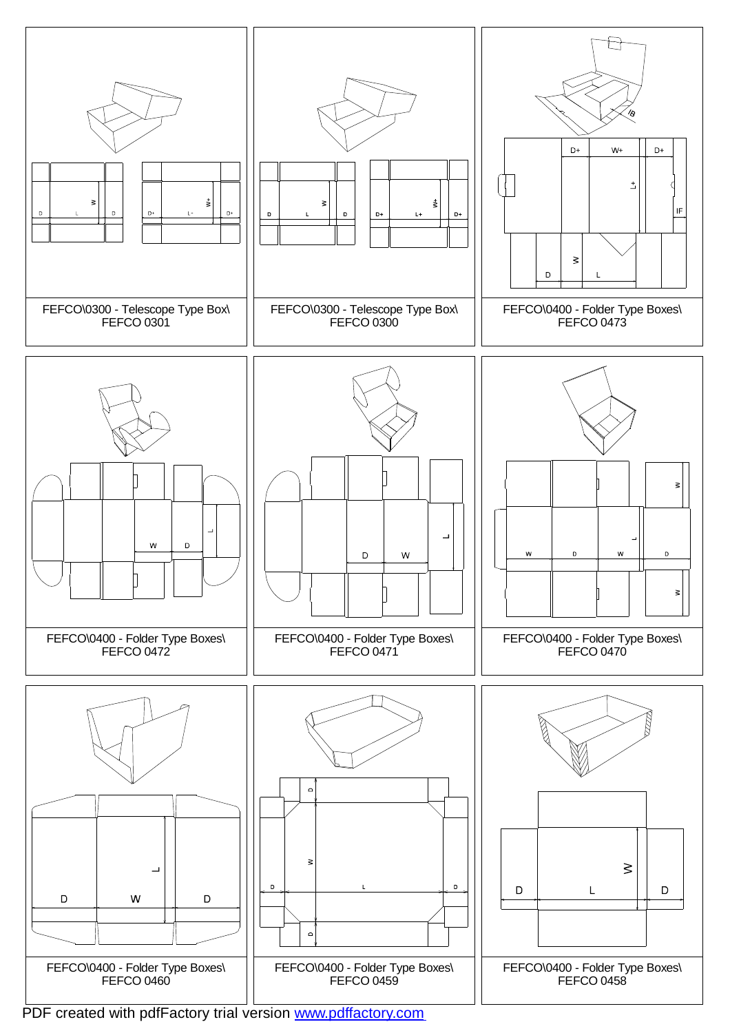![](_page_4_Figure_0.jpeg)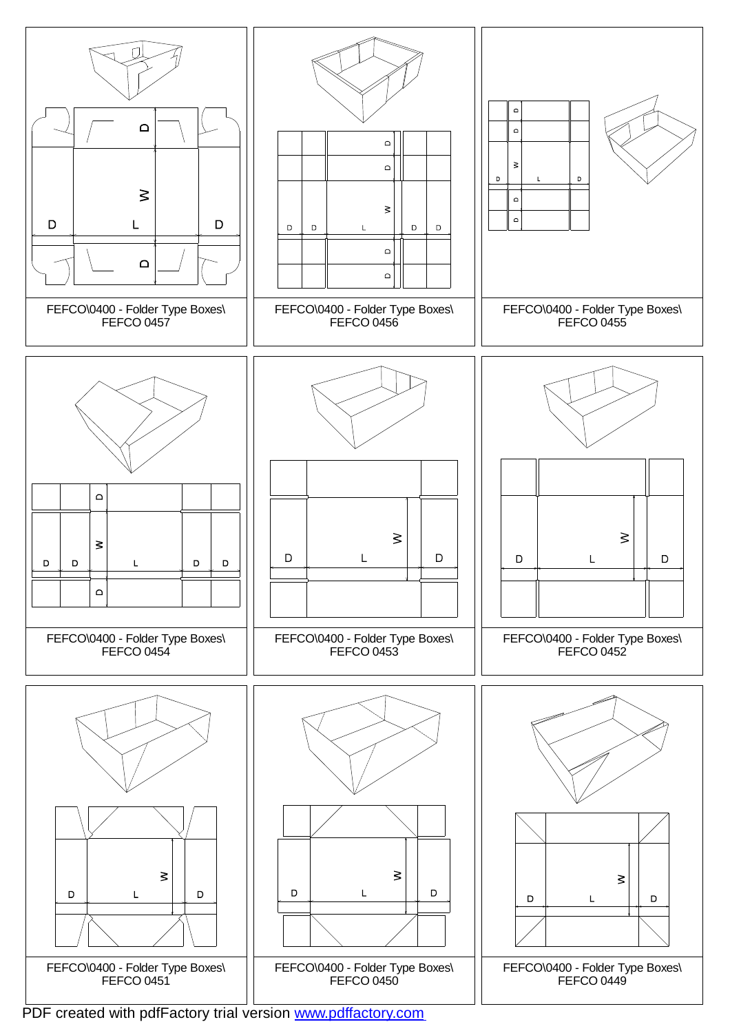![](_page_5_Figure_0.jpeg)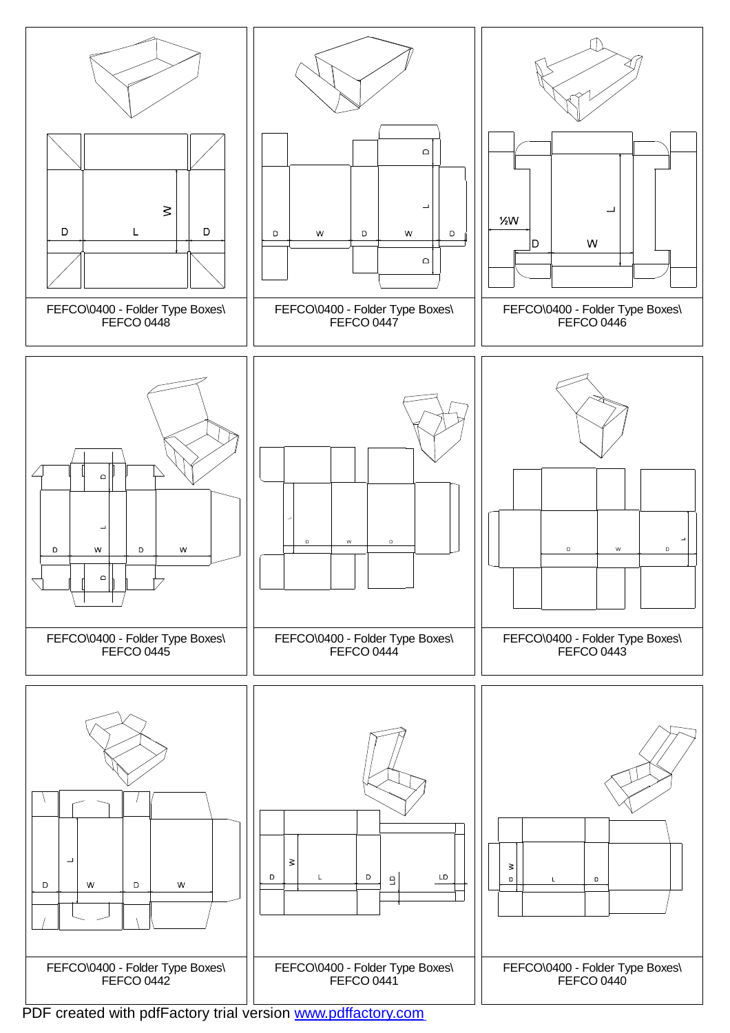![](_page_6_Figure_0.jpeg)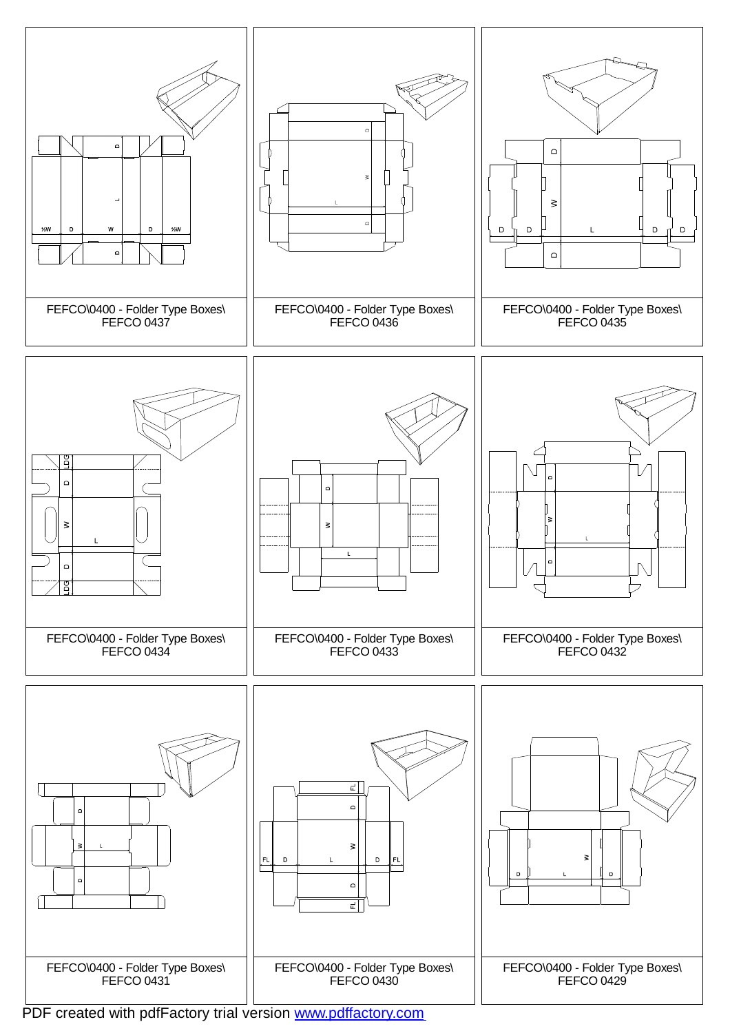![](_page_7_Figure_0.jpeg)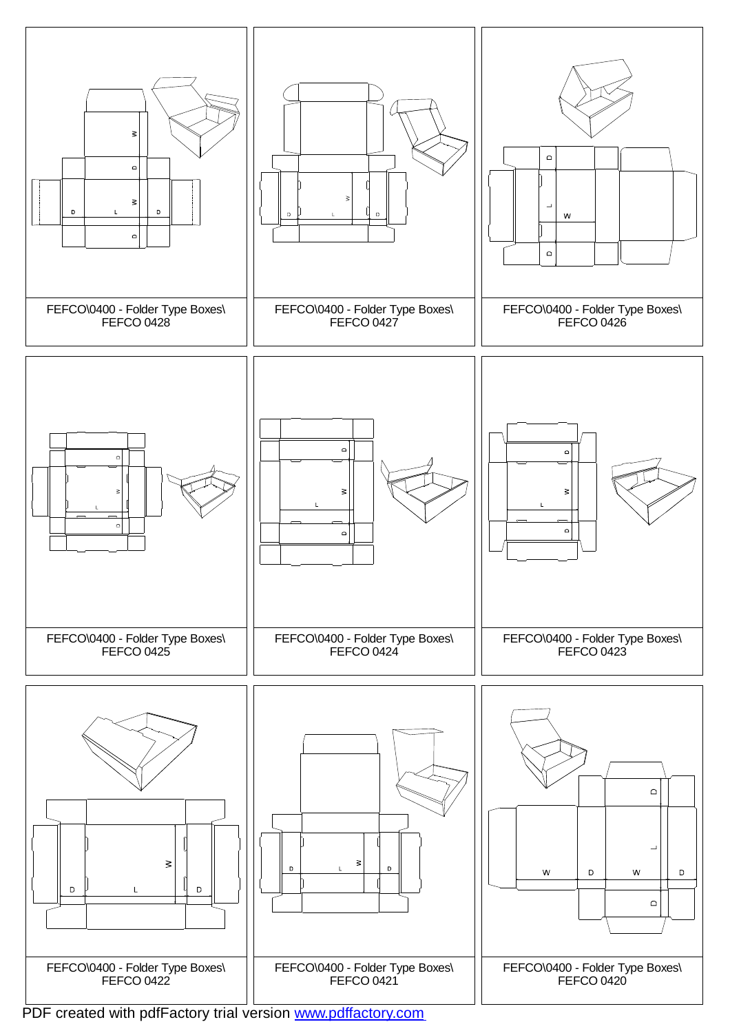![](_page_8_Figure_0.jpeg)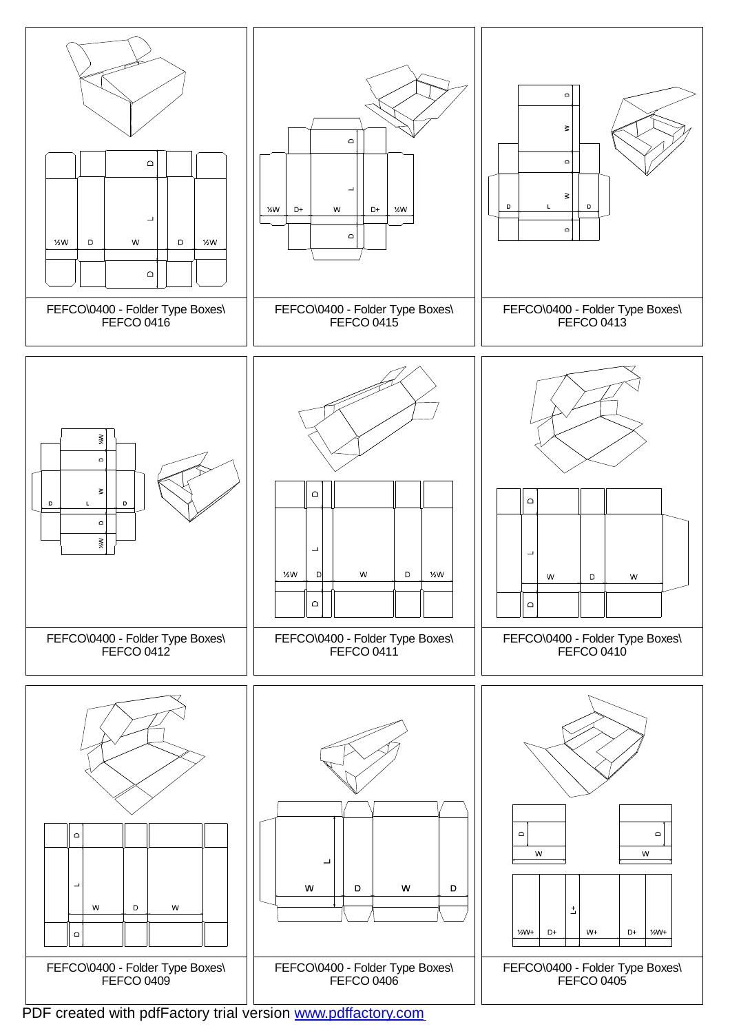![](_page_9_Figure_0.jpeg)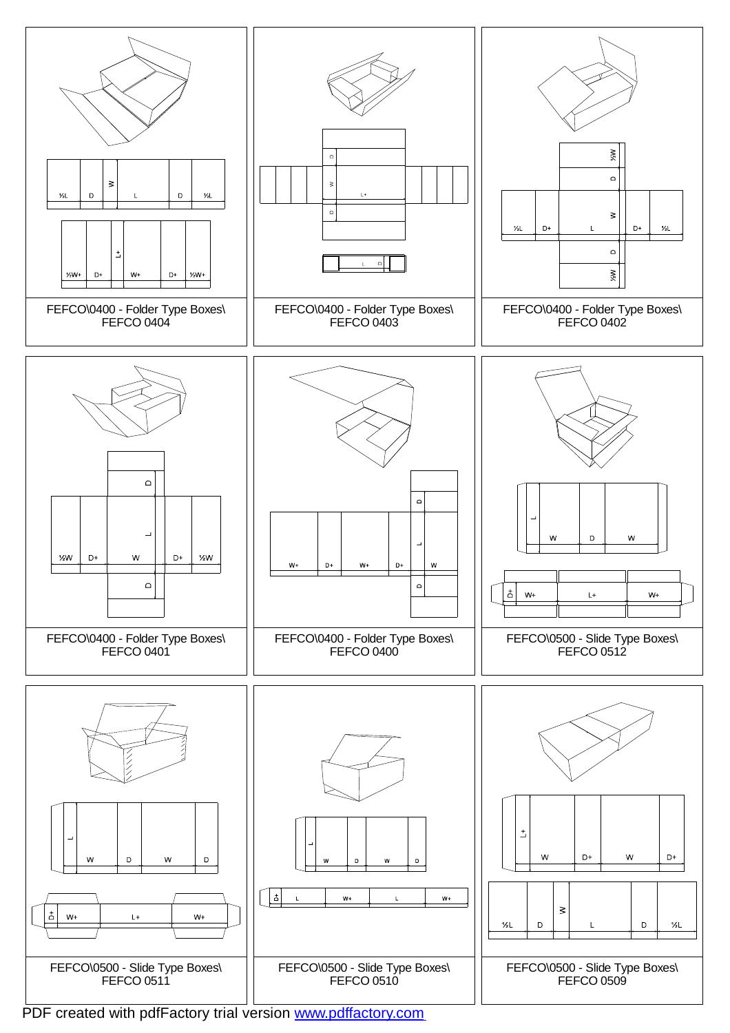![](_page_10_Figure_0.jpeg)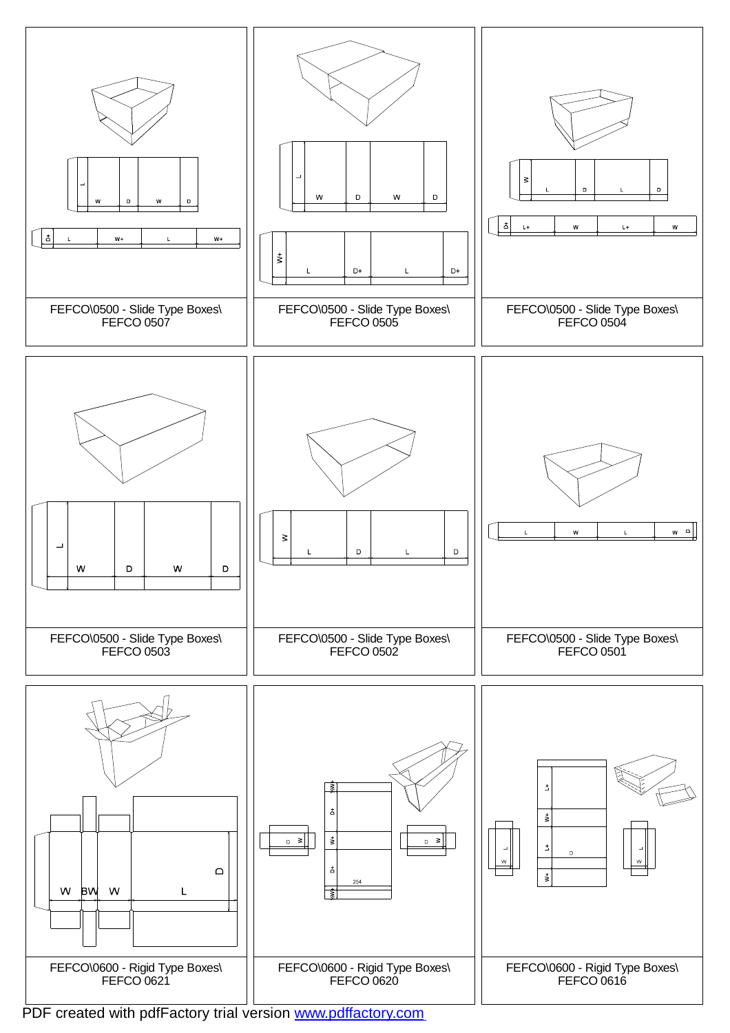![](_page_11_Figure_0.jpeg)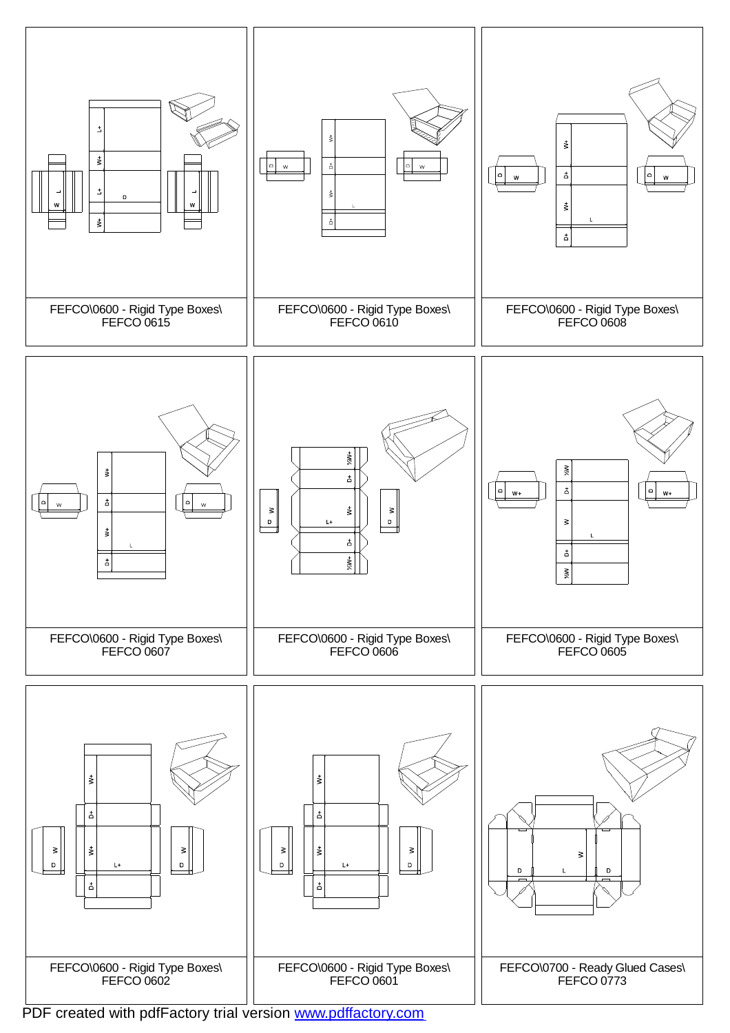![](_page_12_Figure_0.jpeg)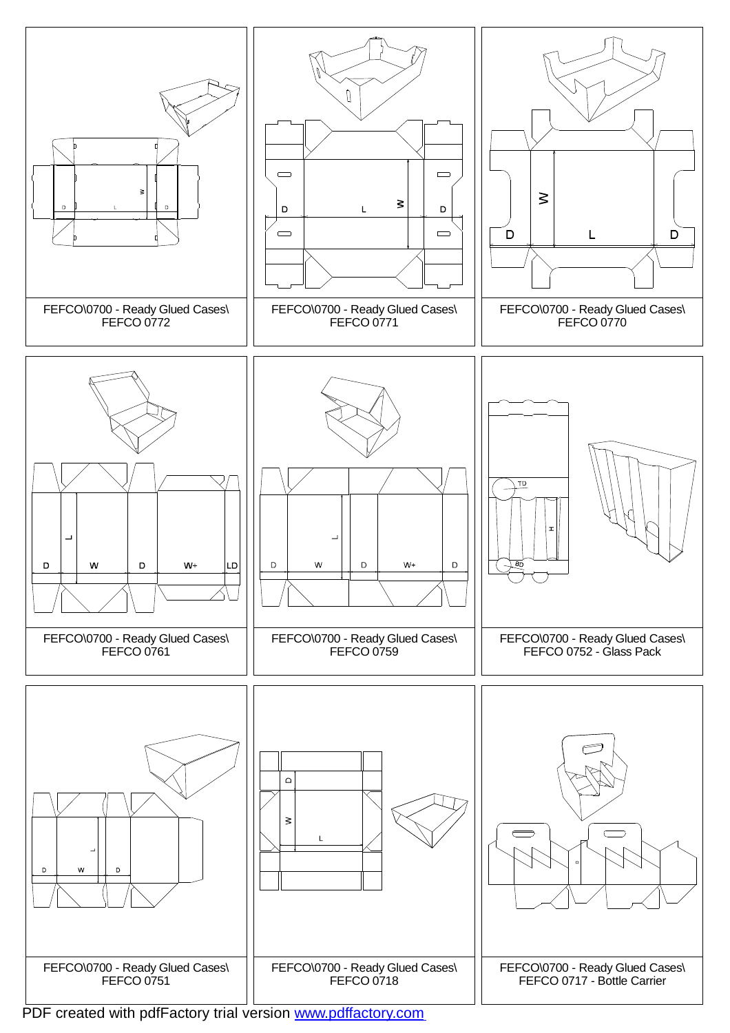![](_page_13_Figure_0.jpeg)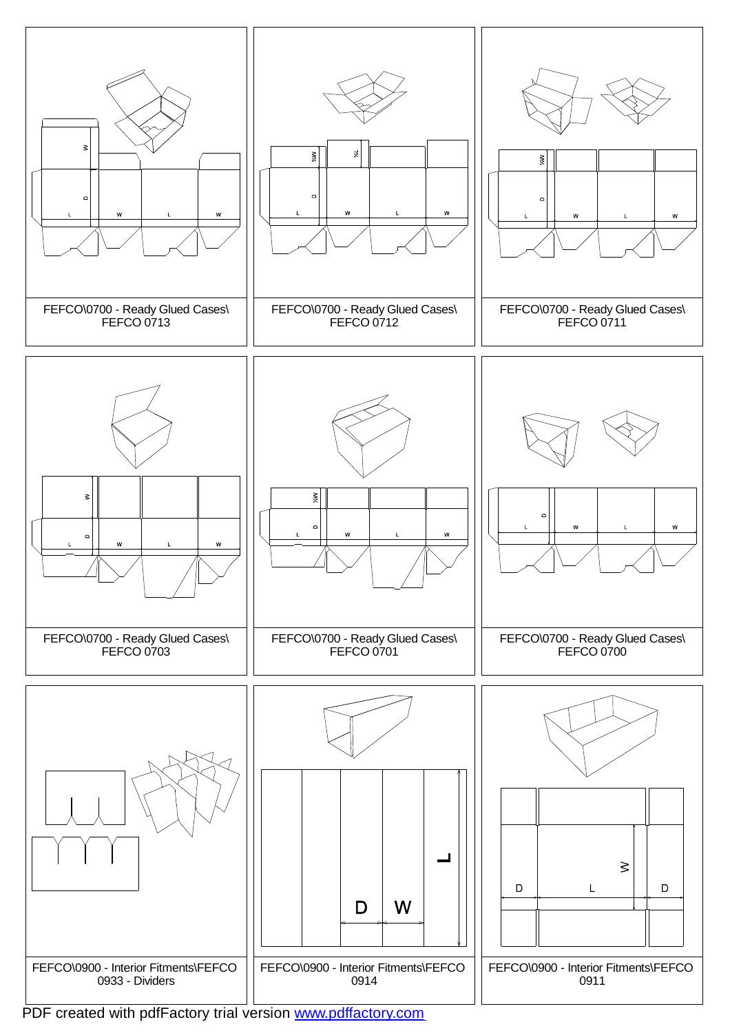![](_page_14_Figure_0.jpeg)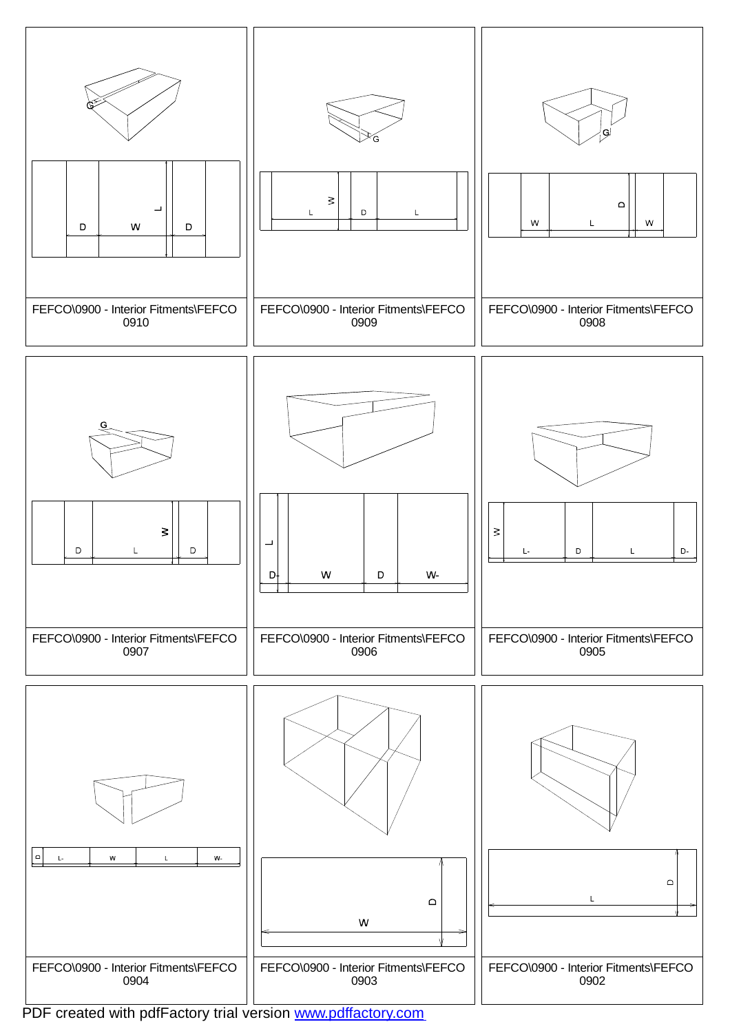![](_page_15_Figure_0.jpeg)